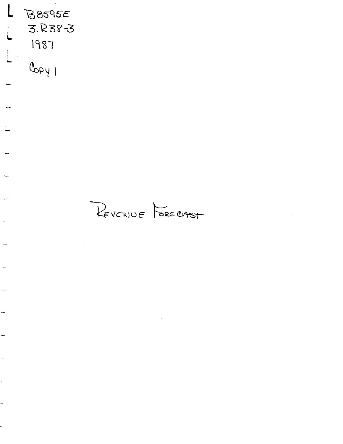$\overline{L}$  $B8595E$ 3.R38-3 1987  $C_{opy}$ 

 $\overline{a}$ 

 $\overline{a}$ 

REVENUE PORECIAST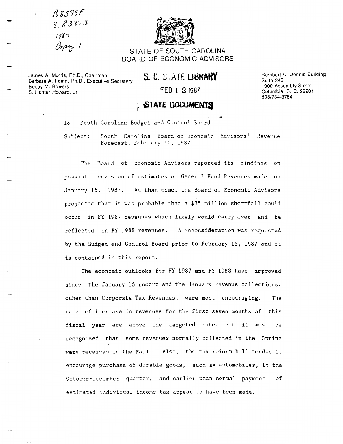*13 6575£*   $3.838 - 3$ /7f?  $\beta_{\rm P2}$  /



STATE OF SOUTH CAROLINA BOARD OF ECONOMIC ADVISORS

James A. Morris, Ph.D., Chairman Barbara A. Feinn, Ph.D., Executive Secretary Bobby M. Bowers S. Hunter Howard, Jr. **FEB** 1 2 1987

S. C. STATE **LIBRARY** 

Rembert C. Dennis Building Suite 345 1000 Assembly Street Columbia, S. C. 29201 803/734-3784

## **STATE DOCUMENTS**

To: South Carolina Budget and Control Board

Subject: South Carolina Board of Economic Advisors' Revenue Forecast, February 10, 1987

The Board of Economic Advisors reported its findings on possible revision of estimates on General Fund Revenues made on January 16, 1987. At that time, the Board of Economic Advisors projected that it was probable that a \$35 million shortfall could occur in FY 1987 revenues which likely would carry over and be reflected in FY 1988 revenues. A reconsideration was requested by the Budget and Control Board prior to February 15, 1987 and it is contained in this report.

The economic outlooks for FY 1987 and FY 1988 have improved since the January 16 report and the January revenue collections, other than Corporate Tax Revenues, were most encouraging. The rate of increase in revenues for the first seven months of this fiscal year are above the targeted rate, but it must be recognized that some revenues normally collected in the Spring were received in the Fall. Also, the tax reform bill tended to encourage purchase of durable goods, such as automobiles, in the October-December quarter, and earlier than normal payments of estimated individual income tax appear to have been made.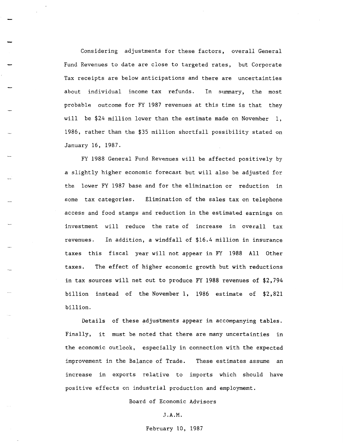Considering adjustments for these factors, overall General Fund Revenues to date are close to targeted rates, but Corporate Tax receipts are below anticipations and there are uncertainties about individual income tax refunds. In summary, the most probable outcome for FY 1987 revenues at this time is that they will be \$24 million lower than the estimate made on November 1, 1986, rather than the \$35 million shortfall possibility stated on January 16, 1987.

FY 1988 General Fund Revenues will be affected positively by a slightly higher economic forecast but will also be adjusted for the lower FY 1987 base and for the elimination or reduction in some tax categories. Elimination of the sales tax on telephone access and food stamps and reduction in the estimated earnings on investment will reduce the rate of increase in overall tax revenues. In addition, a windfall of \$16.4 million in insurance taxes this fiscal year will not appear in FY 1988 All Other taxes. The effect of higher economic growth but with reductions in tax sources will net out to produce FY 1988 revenues of \$2,794 billion instead of the November 1, 1986 estimate of \$2,821 billion.

Details of these adjustments appear in accompanying tables. Finally, it must be noted that there are many uncertainties in the economic outlook, especially in connection with the expected improvement in the Balance of Trade. These estimates assume an increase in exports relative to imports which should have positive effects on industrial production and employmemt.

Board of Economic Advisors

#### J.A.M.

February 10, 1987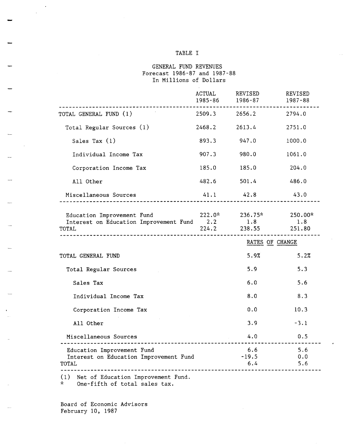#### TABLE I

#### GENERAL FUND REVENUES Forecast 1986-87 and 1987-88 In Millions of Dollars

|                                                                                                                      | 1985-86       | ACTUAL REVISED<br>1986-87       | REVISED<br>1987-88 |
|----------------------------------------------------------------------------------------------------------------------|---------------|---------------------------------|--------------------|
| TOTAL GENERAL FUND (1)                                                                                               |               | 2509.3 2656.2                   | 2794.0             |
| Total Regular Sources (1)                                                                                            | 2468.2        | 2613.4                          | 2751.0             |
| Sales Tax $(1)$                                                                                                      | 893.3         | 947.0                           | 1000.0             |
| Individual Income Tax                                                                                                | 907.3         | 980.0                           | 1061.0             |
| Corporation Income Tax                                                                                               | 185.0         | 185.0                           | 204.0              |
| All Other                                                                                                            | 482.6         | 501.4                           | 486.0              |
| Miscellaneous Sources                                                                                                | $41.1$ $42.8$ |                                 | 43.0               |
| Education Improvement Fund<br>Interest on Education Improvement Fund 2.2 1.8 1.8<br>TAL 224.2 238.55 251.80<br>TOTAL |               | $222.0^*$ $236.75^*$ $250.00^*$ |                    |
|                                                                                                                      |               | RATES OF CHANGE                 |                    |
| TOTAL GENERAL FUND                                                                                                   |               | 5.9%                            | 5.2%               |
| Total Regular Sources                                                                                                |               | 5.9                             | 5.3                |
| Sales Tax                                                                                                            |               | 6.0                             | 5.6                |
| Individual Income Tax                                                                                                |               | 8.0                             | 8.3                |
| Corporation Income Tax                                                                                               |               | 0.0                             | 10.3               |
| All Other                                                                                                            |               | 3.9                             | $-3.1$             |
| Miscellaneous Sources                                                                                                |               | 4.0                             | 0.5                |
| Education Improvement Fund<br>Interest on Education Improvement Fund<br>TOTAL                                        |               | 6.6<br>$-19.5$<br>6.4           | 5.6<br>0.0<br>5.6  |
| Net of Education Improvement Fund.<br>(1)                                                                            |               |                                 |                    |

\* One-fifth of total sales tax.

Board of Economic Advisors February 10, 1987

 $\mathcal{A}$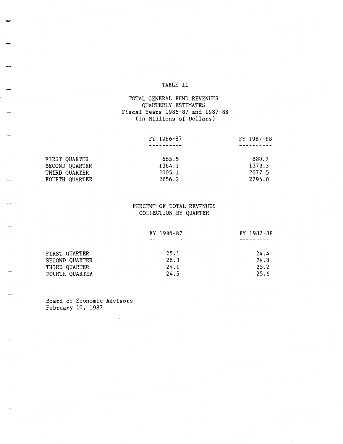#### TABLE II

#### TOTAL GENERAL FUND REVENUES QUARTERLY ESTIMATES Fiscal Years 1986-87 and 1987-88 (In Millions of Dollars)

|                | FY 1986-87 | FY 1987-88 |
|----------------|------------|------------|
|                |            |            |
|                |            |            |
| FIRST QUARTER  | 665.5      | 680.7      |
| SECOND QUARTER | 1364.1     | 1373.3     |
| THIRD QUARTER  | 2005.1     | 2077.5     |
| FOURTH QUARTER | 2656.2     | 2794.0     |

### PERCENT OF TOTAL REVENUES COLLECTION BY QUARTER

|                       | FY 1986-87 | FY 1987-88 |
|-----------------------|------------|------------|
|                       |            |            |
| FIRST QUARTER         | 25.1       | 24.4       |
| SECOND QUARTER        | 26.3       | 24.8       |
| THIRD QUARTER         | 24.1       | 25.2       |
| <b>FOURTH QUARTER</b> | 24.5       | 25.6       |

Board of Economic Advisors  $\sim 10^{11}$  km  $^{-1}$ February 10, 1987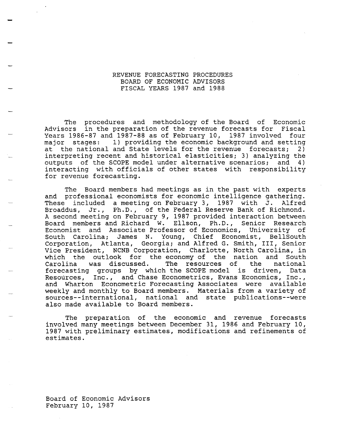#### REVENUE FORECASTING PROCEDURES BOARD OF ECONOMIC ADVISORS FISCAL YEARS 1987 and 1988

The procedures and methodology of the Board of Economic Advisors in the preparation of the revenue forecasts for Fiscal Years 1986-87 and 1987-88 as of February 10, 1987 involved four major stages: 1) providing the economic background and setting at the national and State levels for the revenue forecasts; 2) interpreting recent and historical elasticities; 3) analyzing the outputs of the SCOPE model under alternative scenarios; and 4) interacting with officials of other states with responsibility for revenue forecasting.

The Board members had meetings as in the past with experts and professional economists for economic intelligence gathering. These included a meeting on February 3, 1987 with J. Alfred Broaddus, Jr., Ph.D., of the Federal Reserve Bank of Richmond. A second meeting on February 9, 1987 provided interaction between Board members and Richard w. Ellson, Ph.D., Senior Research Economist and Associate Professor of Economics, University of South Carolina; James N. Young, Chief Economist, BellSouth Corporation, Atlanta, Georgia; and Alfred G. Smith, III, Senior Vice President, NCNB Corporation, Charlotte, North Carolina, in which the outlook for the economy of the nation and South<br>Carolina was discussed. The resources of the national Carolina was discussed. The resources of the national forecasting groups by which the SCOPE model is driven, Data Resources, Inc., and Chase Econometrics, Evans Economics, Inc., and Wharton Econometric Forecasting Associates were available weekly and monthly to Board members. Materials from a variety of sources--international, national and state publications--were also made available to Board members.

The preparation of the economic and revenue forecasts involved many meetings between December 31, 1986 and February 10, 1987 with preliminary estimates, modifications and refinements of estimates.

Board of Economic Advisors February 10, 1987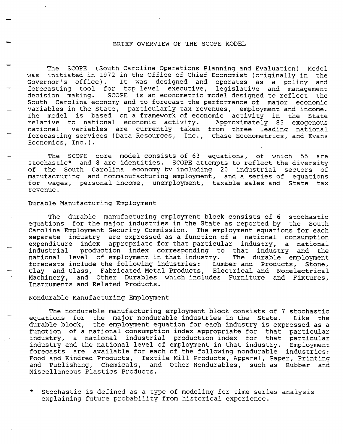#### BRIEF OVERVIEW OF THE SCOPE MODEL

The SCOPE (South Carolina Operations Planning and Evaluation) Model was initiated in 1972 in the Office of Chief Economist (originally in the<br>Governor's office). It was designed and operates as a policy and It was designed and operates as a policy and forecasting tool for top level executive, legislative and management<br>decision making. SCOPE is an econometric model designed to reflect the SCOPE is an econometric model designed to reflect the South Carolina economy and to forecast the performance of major economic variables in the State, particularly tax revenues, employment and income. The model is based on a framework of economic activity in the State relative to national economic activity. Approximately 85 exogenous national variables are currently taken from three leading national forecasting services (Data Resources, Inc., Chase Econometrics, and Evans Economics, Inc.).

The SCOPE core model consists of 63 equations, of which 55 are stochastic\* and 8 are identities. SCOPE attempts to reflect the diversity of the South Carolina economy by including 20 industrial sectors of manufacturing and nonmanufacturing employment, and a series of equations for wages, personal income, unemployment, taxable sales and State tax revenue.

#### Durable Manufacturing Employment

The durable manufacturing employment block consists of 6 stochastic equations for the major industries in the State as reported by the South Carolina Employment Security Commission. The employment equations for each separate industry are expressed as a function of a national consumption expenditure index appropriate for that particular industry, a national industrial production index corresponding to that industry and the national level of employment in that industry. forecasts include the following industries: Lumber and Products, Stone, Clay and Glass, Fabricated Metal Products, Electrical and Nonelectrical Machinery, and Other Durables which includes Furniture and Fixtures, Instruments and Related Products.

#### Nondurable Manufacturing Employment

The nondurable manufacturing employment block consists of 7 stochastic equations for the major nondurable industries in the State. Like the durable block, the employment equation for each industry is expressed as a function of a national consumption index appropriate for that particular industry, a national industrial production index for that particular industry and the national level of employment in that industry. Employment forecasts are available for each of the following nondurable industries: Food and Kindred Products, Textile Mill Products, Apparel, Paper, Printing and Publishing, Chemicals, and Other Nondurables, such as Rubber and Miscellaneous Plastics Products.

\* Stochastic is defined as a type of modeling for time series analysis explaining future probability from historical experience.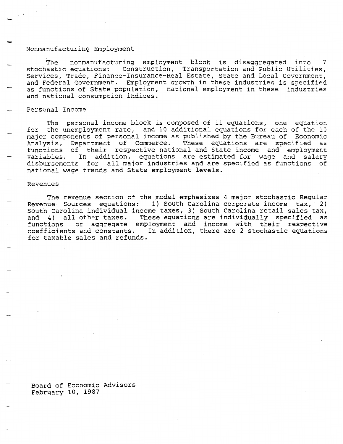#### Nonmanufacturing Employment

The nonmanufacturing employment block is disaggregated into 7 stochastic equations: Construction, Transportation and Public Utilities, Services, Trade, Finance-Insurance-Real Estate, State and Local Government, and Federal Government. Employment growth in these industries is specified as functions of State population, national employment in these industries and national consumption indices.

Personal Income

The personal income block is composed of 11 equations, one equation for the unemployment rate, and 10 additional equations for each of the 10 major components of personal income as published by the Bureau of Economic Analysis, Department of Commerce. These equations are specified as functions of their respective national and State income and employment variables. In addition, equations are estimated for wage and salary disbursements for all major industries and are specified as functions of national wage trends and State employment levels.

#### Revenues

The revenue section of the model emphasizes 4 major stochastic Regular Revenue Sources equations: 1) South Carolina corporate income tax, 2) South Carolina individual income taxes, 3) South Carolina retail sales tax, and 4) all other taxes. These equations are individually specified as functions of aggregate employment and income with their respective coefficients and constants. In addition, there are 2 stochastic equations for taxable sales and refunds.

Board of Economic Advisors February 10, 1987